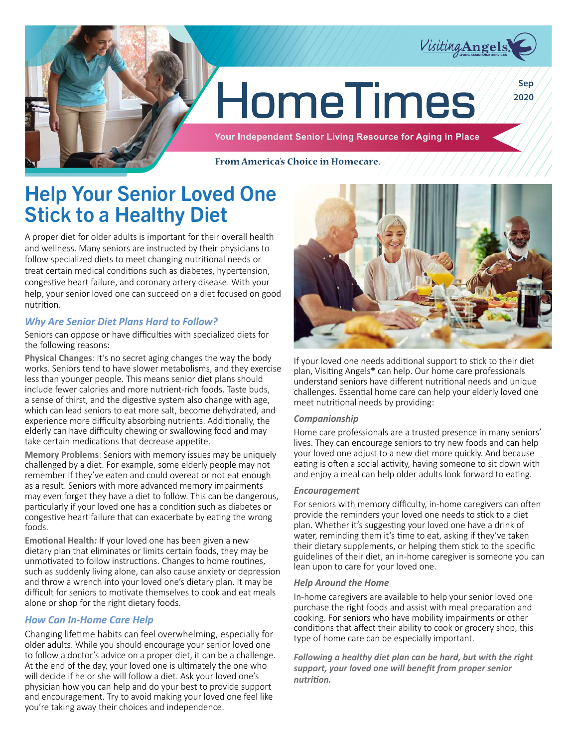

# **HomeTimes**

Your Independent Senior Living Resource for Aging in Place

From America's Choice in Homecare.

## Help Your Senior Loved One Stick to a Healthy Diet

A proper diet for older adults is important for their overall health and wellness. Many seniors are instructed by their physicians to follow specialized diets to meet changing nutritional needs or treat certain medical conditions such as diabetes, hypertension, congestive heart failure, and coronary artery disease. With your help, your senior loved one can succeed on a diet focused on good nutrition.

#### *Why Are Senior Diet Plans Hard to Follow?*

Seniors can oppose or have difficulties with specialized diets for the following reasons:

**Physical Changes**: It's no secret aging changes the way the body works. Seniors tend to have slower metabolisms, and they exercise less than younger people. This means senior diet plans should include fewer calories and more nutrient-rich foods. Taste buds, a sense of thirst, and the digestive system also change with age, which can lead seniors to eat more salt, become dehydrated, and experience more difficulty absorbing nutrients. Additionally, the elderly can have difficulty chewing or swallowing food and may take certain medications that decrease appetite.

**Memory Problems**: Seniors with memory issues may be uniquely challenged by a diet. For example, some elderly people may not remember if they've eaten and could overeat or not eat enough as a result. Seniors with more advanced memory impairments may even forget they have a diet to follow. This can be dangerous, particularly if your loved one has a condition such as diabetes or congestive heart failure that can exacerbate by eating the wrong foods.

**Emotional Health***:* If your loved one has been given a new dietary plan that eliminates or limits certain foods, they may be unmotivated to follow instructions. Changes to home routines, such as suddenly living alone, can also cause anxiety or depression and throw a wrench into your loved one's dietary plan. It may be difficult for seniors to motivate themselves to cook and eat meals alone or shop for the right dietary foods.

#### *How Can In-Home Care Help*

Changing lifetime habits can feel overwhelming, especially for older adults. While you should encourage your senior loved one to follow a doctor's advice on a proper diet, it can be a challenge. At the end of the day, your loved one is ultimately the one who will decide if he or she will follow a diet. Ask your loved one's physician how you can help and do your best to provide support and encouragement. Try to avoid making your loved one feel like you're taking away their choices and independence.



If your loved one needs additional support to stick to their diet plan, Visiting Angels® can help. Our home care professionals understand seniors have different nutritional needs and unique challenges. Essential home care can help your elderly loved one meet nutritional needs by providing:

#### *Companionship*

Home care professionals are a trusted presence in many seniors' lives. They can encourage seniors to try new foods and can help your loved one adjust to a new diet more quickly. And because eating is often a social activity, having someone to sit down with and enjoy a meal can help older adults look forward to eating.

#### *Encouragement*

For seniors with memory difficulty, in-home caregivers can often provide the reminders your loved one needs to stick to a diet plan. Whether it's suggesting your loved one have a drink of water, reminding them it's time to eat, asking if they've taken their dietary supplements, or helping them stick to the specific guidelines of their diet, an in-home caregiver is someone you can lean upon to care for your loved one.

#### *Help Around the Home*

In-home caregivers are available to help your senior loved one purchase the right foods and assist with meal preparation and cooking. For seniors who have mobility impairments or other conditions that affect their ability to cook or grocery shop, this type of home care can be especially important.

*Following a healthy diet plan can be hard, but with the right support, your loved one will benefit from proper senior nutrition.*

**Sep 2020**

Visiting Angels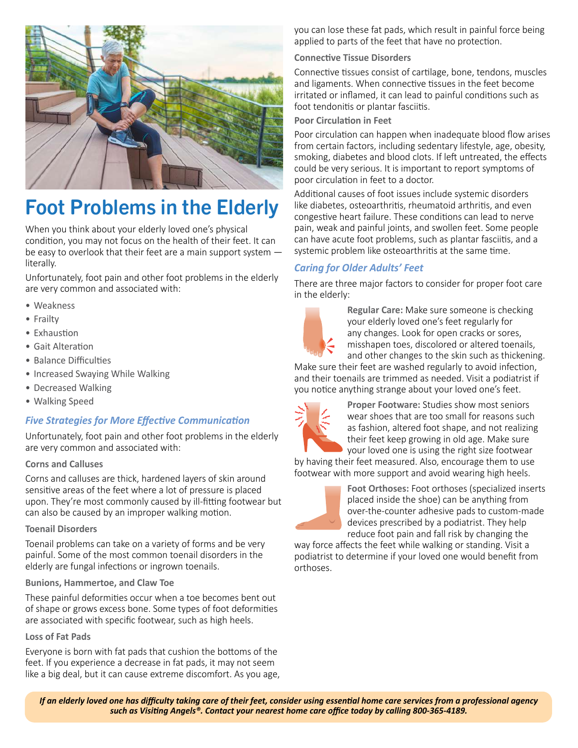

# Foot Problems in the Elderly

When you think about your elderly loved one's physical condition, you may not focus on the health of their feet. It can be easy to overlook that their feet are a main support system literally.

Unfortunately, foot pain and other foot problems in the elderly are very common and associated with:

- Weakness
- Frailty
- Exhaustion
- Gait Alteration
- Balance Difficulties
- Increased Swaying While Walking
- Decreased Walking
- Walking Speed

#### *Five Strategies for More Effective Communication*

Unfortunately, foot pain and other foot problems in the elderly are very common and associated with:

#### **Corns and Calluses**

Corns and calluses are thick, hardened layers of skin around sensitive areas of the feet where a lot of pressure is placed upon. They're most commonly caused by ill-fitting footwear but can also be caused by an improper walking motion.

#### **Toenail Disorders**

Toenail problems can take on a variety of forms and be very painful. Some of the most common toenail disorders in the elderly are fungal infections or ingrown toenails.

#### **Bunions, Hammertoe, and Claw Toe**

These painful deformities occur when a toe becomes bent out of shape or grows excess bone. Some types of foot deformities are associated with specific footwear, such as high heels.

#### **Loss of Fat Pads**

Everyone is born with fat pads that cushion the bottoms of the feet. If you experience a decrease in fat pads, it may not seem like a big deal, but it can cause extreme discomfort. As you age, you can lose these fat pads, which result in painful force being applied to parts of the feet that have no protection.

#### **Connective Tissue Disorders**

Connective tissues consist of cartilage, bone, tendons, muscles and ligaments. When connective tissues in the feet become irritated or inflamed, it can lead to painful conditions such as foot tendonitis or plantar fasciitis.

#### **Poor Circulation in Feet**

Poor circulation can happen when inadequate blood flow arises from certain factors, including sedentary lifestyle, age, obesity, smoking, diabetes and blood clots. If left untreated, the effects could be very serious. It is important to report symptoms of poor circulation in feet to a doctor.

Additional causes of foot issues include systemic disorders like diabetes, osteoarthritis, rheumatoid arthritis, and even congestive heart failure. These conditions can lead to nerve pain, weak and painful joints, and swollen feet. Some people can have acute foot problems, such as plantar fasciitis, and a systemic problem like osteoarthritis at the same time.

#### *Caring for Older Adults' Feet*

There are three major factors to consider for proper foot care in the elderly:



**Regular Care:** Make sure someone is checking your elderly loved one's feet regularly for any changes. Look for open cracks or sores, misshapen toes, discolored or altered toenails, and other changes to the skin such as thickening.

Make sure their feet are washed regularly to avoid infection, and their toenails are trimmed as needed. Visit a podiatrist if you notice anything strange about your loved one's feet.



**Proper Footware:** Studies show most seniors wear shoes that are too small for reasons such as fashion, altered foot shape, and not realizing their feet keep growing in old age. Make sure your loved one is using the right size footwear

by having their feet measured. Also, encourage them to use footwear with more support and avoid wearing high heels.



**Foot Orthoses:** Foot orthoses (specialized inserts placed inside the shoe) can be anything from over-the-counter adhesive pads to custom-made devices prescribed by a podiatrist. They help reduce foot pain and fall risk by changing the

way force affects the feet while walking or standing. Visit a podiatrist to determine if your loved one would benefit from orthoses.

*If an elderly loved one has difficulty taking care of their feet, consider using essential home care services from a professional agency such as Visiting Angels®. Contact your nearest home care office today by calling 800-365-4189.*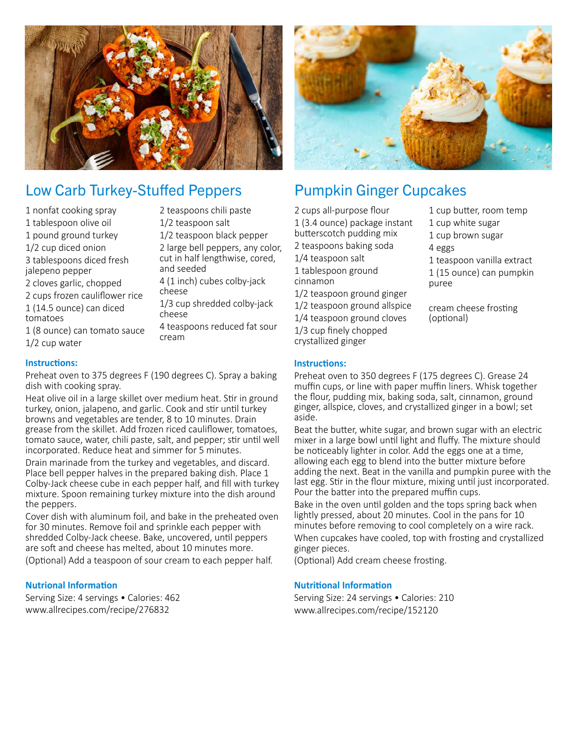

### Low Carb Turkey-Stuffed Peppers

1 nonfat cooking spray 1 tablespoon olive oil 1 pound ground turkey 1/2 cup diced onion 3 tablespoons diced fresh jalepeno pepper 2 cloves garlic, chopped 2 cups frozen cauliflower rice 1 (14.5 ounce) can diced tomatoes

2 teaspoons chili paste 1/2 teaspoon salt 1/2 teaspoon black pepper

2 large bell peppers, any color,

cut in half lengthwise, cored, and seeded

4 (1 inch) cubes colby-jack cheese

1/3 cup shredded colby-jack cheese 4 teaspoons reduced fat sour

1 (8 ounce) can tomato sauce 1/2 cup water

#### **Instructions:**

Preheat oven to 375 degrees F (190 degrees C). Spray a baking dish with cooking spray.

cream

Heat olive oil in a large skillet over medium heat. Stir in ground turkey, onion, jalapeno, and garlic. Cook and stir until turkey browns and vegetables are tender, 8 to 10 minutes. Drain grease from the skillet. Add frozen riced cauliflower, tomatoes, tomato sauce, water, chili paste, salt, and pepper; stir until well incorporated. Reduce heat and simmer for 5 minutes.

Drain marinade from the turkey and vegetables, and discard. Place bell pepper halves in the prepared baking dish. Place 1 Colby-Jack cheese cube in each pepper half, and fill with turkey mixture. Spoon remaining turkey mixture into the dish around the peppers.

Cover dish with aluminum foil, and bake in the preheated oven for 30 minutes. Remove foil and sprinkle each pepper with shredded Colby-Jack cheese. Bake, uncovered, until peppers are soft and cheese has melted, about 10 minutes more.

(Optional) Add a teaspoon of sour cream to each pepper half.

#### **Nutrional Information**

Serving Size: 4 servings • Calories: 462 www.allrecipes.com/recipe/276832



## Pumpkin Ginger Cupcakes

- 2 cups all-purpose flour 1 (3.4 ounce) package instant butterscotch pudding mix 2 teaspoons baking soda 1/4 teaspoon salt 1 tablespoon ground cinnamon 1/2 teaspoon ground ginger 1/2 teaspoon ground allspice 1/4 teaspoon ground cloves 1/3 cup finely chopped crystallized ginger
- **Instructions:**

Preheat oven to 350 degrees F (175 degrees C). Grease 24 muffin cups, or line with paper muffin liners. Whisk together the flour, pudding mix, baking soda, salt, cinnamon, ground ginger, allspice, cloves, and crystallized ginger in a bowl; set aside.

Beat the butter, white sugar, and brown sugar with an electric mixer in a large bowl until light and fluffy. The mixture should be noticeably lighter in color. Add the eggs one at a time, allowing each egg to blend into the butter mixture before adding the next. Beat in the vanilla and pumpkin puree with the last egg. Stir in the flour mixture, mixing until just incorporated. Pour the batter into the prepared muffin cups.

Bake in the oven until golden and the tops spring back when lightly pressed, about 20 minutes. Cool in the pans for 10 minutes before removing to cool completely on a wire rack. When cupcakes have cooled, top with frosting and crystallized ginger pieces.

(Optional) Add cream cheese frosting.

#### **Nutritional Information**

Serving Size: 24 servings • Calories: 210 www.allrecipes.com/recipe/152120

1 teaspoon vanilla extract 1 (15 ounce) can pumpkin puree

4 eggs

1 cup butter, room temp 1 cup white sugar 1 cup brown sugar

cream cheese frosting (optional)